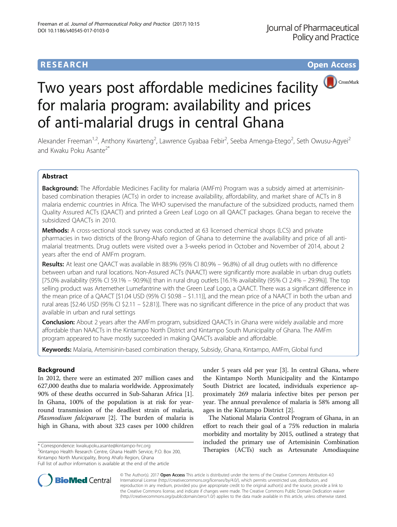# **RESEARCH CHILD CONTROL** CONTROL CONTROL CONTROL CONTROL CONTROL CONTROL CONTROL CONTROL CONTROL CONTROL CONTROL CONTROL CONTROL CONTROL CONTROL CONTROL CONTROL CONTROL CONTROL CONTROL CONTROL CONTROL CONTROL CONTROL CONTR



# Two years post affordable medicines facility for malaria program: availability and prices of anti-malarial drugs in central Ghana

Alexander Freeman<sup>1,2</sup>, Anthony Kwarteng<sup>2</sup>, Lawrence Gyabaa Febir<sup>2</sup>, Seeba Amenga-Etego<sup>2</sup>, Seth Owusu-Agyei<sup>2</sup> and Kwaku Poku Asante<sup>2\*</sup>

# Abstract

Background: The Affordable Medicines Facility for malaria (AMFm) Program was a subsidy aimed at artemisininbased combination therapies (ACTs) in order to increase availability, affordability, and market share of ACTs in 8 malaria endemic countries in Africa. The WHO supervised the manufacture of the subsidized products, named them Quality Assured ACTs (QAACT) and printed a Green Leaf Logo on all QAACT packages. Ghana began to receive the subsidized QAACTs in 2010.

**Methods:** A cross-sectional stock survey was conducted at 63 licensed chemical shops (LCS) and private pharmacies in two districts of the Brong-Ahafo region of Ghana to determine the availability and price of all antimalarial treatments. Drug outlets were visited over a 3-weeks period in October and November of 2014, about 2 years after the end of AMFm program.

Results: At least one QAACT was available in 88.9% (95% CI 80.9% – 96.8%) of all drug outlets with no difference between urban and rural locations. Non-Assured ACTs (NAACT) were significantly more available in urban drug outlets [75.0% availability (95% CI 59.1% – 90.9%)] than in rural drug outlets [16.1% availability (95% CI 2.4% – 29.9%)]. The top selling product was Artemether Lumefantrine with the Green Leaf Logo, a QAACT. There was a significant difference in the mean price of a QAACT [\$1.04 USD (95% CI \$0.98 – \$1.11)], and the mean price of a NAACT in both the urban and rural areas [\$2.46 USD (95% CI \$2.11 – \$2.81)]. There was no significant difference in the price of any product that was available in urban and rural settings

**Conclusion:** About 2 years after the AMFm program, subsidized QAACTs in Ghana were widely available and more affordable than NAACTs in the Kintampo North District and Kintampo South Municipality of Ghana. The AMFm program appeared to have mostly succeeded in making QAACTs available and affordable.

Keywords: Malaria, Artemisinin-based combination therapy, Subsidy, Ghana, Kintampo, AMFm, Global fund

# Background

In 2012, there were an estimated 207 million cases and 627,000 deaths due to malaria worldwide. Approximately 90% of these deaths occurred in Sub-Saharan Africa [\[1](#page-6-0)]. In Ghana, 100% of the population is at risk for yearround transmission of the deadliest strain of malaria, Plasmodium falciparum [[2\]](#page-6-0). The burden of malaria is high in Ghana, with about 323 cases per 1000 children

 $2$ Kintampo Health Research Centre, Ghana Health Service, P.O. Box 200, Kintampo North Municipality, Brong Ahafo Region, Ghana Full list of author information is available at the end of the article

under 5 years old per year [[3\]](#page-6-0). In central Ghana, where the Kintampo North Municipality and the Kintampo South District are located, individuals experience approximately 269 malaria infective bites per person per year. The annual prevalence of malaria is 58% among all ages in the Kintampo District [[2\]](#page-6-0).

The National Malaria Control Program of Ghana, in an effort to reach their goal of a 75% reduction in malaria morbidity and mortality by 2015, outlined a strategy that included the primary use of Artemisinin Combination \* Correspondence: [kwakupoku.asante@kintampo-hrc.org](mailto:kwakupoku.asante@kintampo-hrc.org) **and a register and the correspondence: kwakupoku.asante@kintampo-hrc.org and a register and a register and a register and a register and a register and a register and a** 



© The Author(s). 2017 **Open Access** This article is distributed under the terms of the Creative Commons Attribution 4.0 International License [\(http://creativecommons.org/licenses/by/4.0/](http://creativecommons.org/licenses/by/4.0/)), which permits unrestricted use, distribution, and reproduction in any medium, provided you give appropriate credit to the original author(s) and the source, provide a link to the Creative Commons license, and indicate if changes were made. The Creative Commons Public Domain Dedication waiver [\(http://creativecommons.org/publicdomain/zero/1.0/](http://creativecommons.org/publicdomain/zero/1.0/)) applies to the data made available in this article, unless otherwise stated.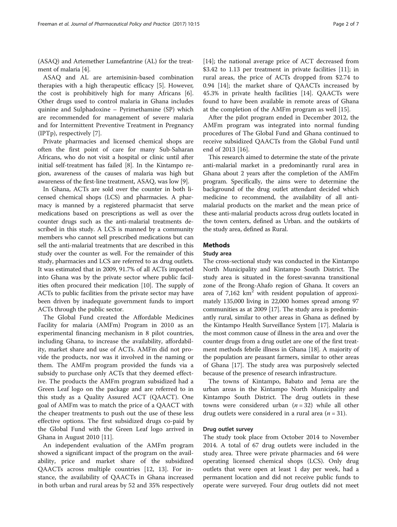(ASAQ) and Artemether Lumefantrine (AL) for the treatment of malaria [[4\]](#page-6-0).

ASAQ and AL are artemisinin-based combination therapies with a high therapeutic efficacy [\[5\]](#page-6-0). However, the cost is prohibitively high for many Africans [\[6](#page-6-0)]. Other drugs used to control malaria in Ghana includes quinine and Sulphadoxine – Pyrimethamine (SP) which are recommended for management of severe malaria and for Intermittent Preventive Treatment in Pregnancy (IPTp), respectively [\[7](#page-6-0)].

Private pharmacies and licensed chemical shops are often the first point of care for many Sub-Saharan Africans, who do not visit a hospital or clinic until after initial self-treatment has failed [[8](#page-6-0)]. In the Kintampo region, awareness of the causes of malaria was high but awareness of the first-line treatment, ASAQ, was low [\[9\]](#page-6-0).

In Ghana, ACTs are sold over the counter in both licensed chemical shops (LCS) and pharmacies. A pharmacy is manned by a registered pharmacist that serve medications based on prescriptions as well as over the counter drugs such as the anti-malarial treatments described in this study. A LCS is manned by a community members who cannot sell prescribed medications but can sell the anti-malarial treatments that are described in this study over the counter as well. For the remainder of this study, pharmacies and LCS are referred to as drug outlets. It was estimated that in 2009, 91.7% of all ACTs imported into Ghana was by the private sector where public facilities often procured their medication [[10](#page-6-0)]. The supply of ACTs to public facilities from the private sector may have been driven by inadequate government funds to import ACTs through the public sector.

The Global Fund created the Affordable Medicines Facility for malaria (AMFm) Program in 2010 as an experimental financing mechanism in 8 pilot countries, including Ghana, to increase the availability, affordability, market share and use of ACTs. AMFm did not provide the products, nor was it involved in the naming or them. The AMFm program provided the funds via a subsidy to purchase only ACTs that they deemed effective. The products the AMFm program subsidized had a Green Leaf logo on the package and are referred to in this study as a Quality Assured ACT (QAACT). One goal of AMFm was to match the price of a QAACT with the cheaper treatments to push out the use of these less effective options. The first subsidized drugs co-paid by the Global Fund with the Green Leaf logo arrived in Ghana in August 2010 [\[11](#page-6-0)].

An independent evaluation of the AMFm program showed a significant impact of the program on the availability, price and market share of the subsidized QAACTs across multiple countries [\[12](#page-6-0), [13](#page-6-0)]. For instance, the availability of QAACTs in Ghana increased in both urban and rural areas by 52 and 35% respectively [[14\]](#page-6-0); the national average price of ACT decreased from \$3.42 to 1.13 per treatment in private facilities [\[11\]](#page-6-0); in rural areas, the price of ACTs dropped from \$2.74 to 0.94 [[14\]](#page-6-0); the market share of QAACTs increased by 45.3% in private health facilities [[14\]](#page-6-0). QAACTs were found to have been available in remote areas of Ghana at the completion of the AMFm program as well [\[15\]](#page-6-0).

After the pilot program ended in December 2012, the AMFm program was integrated into normal funding procedures of The Global Fund and Ghana continued to receive subsidized QAACTs from the Global Fund until end of 2013 [\[16](#page-6-0)].

This research aimed to determine the state of the private anti-malarial market in a predominantly rural area in Ghana about 2 years after the completion of the AMFm program. Specifically, the aims were to determine the background of the drug outlet attendant decided which medicine to recommend, the availability of all antimalarial products on the market and the mean price of these anti-malarial products across drug outlets located in the town centers, defined as Urban. and the outskirts of the study area, defined as Rural.

# Methods

# Study area

The cross-sectional study was conducted in the Kintampo North Municipality and Kintampo South District. The study area is situated in the forest-savanna transitional zone of the Brong-Ahafo region of Ghana. It covers an area of  $7,162 \text{ km}^2$  with resident population of approximately 135,000 living in 22,000 homes spread among 97 communities as at 2009 [\[17](#page-6-0)]. The study area is predominantly rural, similar to other areas in Ghana as defined by the Kintampo Health Surveillance System [\[17](#page-6-0)]. Malaria is the most common cause of illness in the area and over the counter drugs from a drug outlet are one of the first treatment methods febrile illness in Ghana [\[18\]](#page-6-0). A majority of the population are peasant farmers, similar to other areas of Ghana [[17\]](#page-6-0). The study area was purposively selected because of the presence of research infrastructure.

The towns of Kintampo, Babato and Jema are the urban areas in the Kintampo North Municipality and Kintampo South District. The drug outlets in these towns were considered urban  $(n = 32)$  while all other drug outlets were considered in a rural area ( $n = 31$ ).

# Drug outlet survey

The study took place from October 2014 to November 2014. A total of 67 drug outlets were included in the study area. Three were private pharmacies and 64 were operating licensed chemical shops (LCS). Only drug outlets that were open at least 1 day per week, had a permanent location and did not receive public funds to operate were surveyed. Four drug outlets did not meet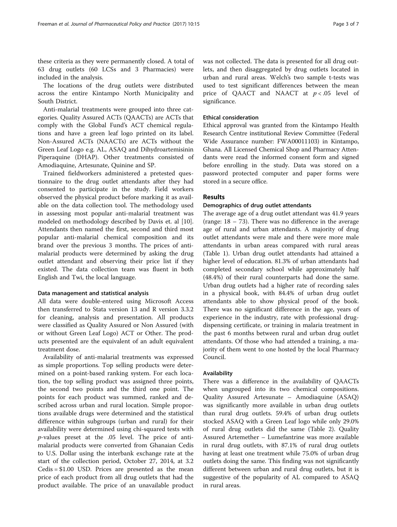these criteria as they were permanently closed. A total of 63 drug outlets (60 LCSs and 3 Pharmacies) were included in the analysis.

The locations of the drug outlets were distributed across the entire Kintampo North Municipality and South District.

Anti-malarial treatments were grouped into three categories. Quality Assured ACTs (QAACTs) are ACTs that comply with the Global Fund's ACT chemical regulations and have a green leaf logo printed on its label. Non-Assured ACTs (NAACTs) are ACTs without the Green Leaf Logo e.g. AL, ASAQ and Dihydroartemisinin Piperaquine (DHAP). Other treatments consisted of Amodiaquine, Artesunate, Quinine and SP.

Trained fieldworkers administered a pretested questionnaire to the drug outlet attendants after they had consented to participate in the study. Field workers observed the physical product before marking it as available on the data collection tool. The methodology used in assessing most popular anti-malarial treatment was modeled on methodology described by Davis et. al [\[10](#page-6-0)]. Attendants then named the first, second and third most popular anti-malarial chemical composition and its brand over the previous 3 months. The prices of antimalarial products were determined by asking the drug outlet attendant and observing their price list if they existed. The data collection team was fluent in both English and Twi, the local language.

#### Data management and statistical analysis

All data were double-entered using Microsoft Access then transferred to Stata version 13 and R version 3.3.2 for cleaning, analysis and presentation. All products were classified as Quality Assured or Non Assured (with or without Green Leaf Logo) ACT or Other. The products presented are the equivalent of an adult equivalent treatment dose.

Availability of anti-malarial treatments was expressed as simple proportions. Top selling products were determined on a point-based ranking system. For each location, the top selling product was assigned three points, the second two points and the third one point. The points for each product was summed, ranked and described across urban and rural location. Simple proportions available drugs were determined and the statistical difference within subgroups (urban and rural) for their availability were determined using chi-squared tests with p-values preset at the .05 level. The price of antimalarial products were converted from Ghanaian Cedis to U.S. Dollar using the interbank exchange rate at the start of the collection period, October 27, 2014, at 3.2 Cedis = \$1.00 USD. Prices are presented as the mean price of each product from all drug outlets that had the product available. The price of an unavailable product

was not collected. The data is presented for all drug outlets, and then disaggregated by drug outlets located in urban and rural areas. Welch's two sample t-tests was used to test significant differences between the mean price of QAACT and NAACT at  $p < .05$  level of significance.

## Ethical consideration

Ethical approval was granted from the Kintampo Health Research Centre institutional Review Committee (Federal Wide Assurance number: FWA00011103) in Kintampo, Ghana. All Licensed Chemical Shop and Pharmacy Attendants were read the informed consent form and signed before enrolling in the study. Data was stored on a password protected computer and paper forms were stored in a secure office.

# Results

#### Demographics of drug outlet attendants

The average age of a drug outlet attendant was 41.9 years (range:  $18 - 73$ ). There was no difference in the average age of rural and urban attendants. A majority of drug outlet attendants were male and there were more male attendants in urban areas compared with rural areas (Table [1](#page-3-0)). Urban drug outlet attendants had attained a higher level of education. 81.3% of urban attendants had completed secondary school while approximately half (48.4%) of their rural counterparts had done the same. Urban drug outlets had a higher rate of recording sales in a physical book, with 84.4% of urban drug outlet attendants able to show physical proof of the book. There was no significant difference in the age, years of experience in the industry, rate with professional drugdispensing certificate, or training in malaria treatment in the past 6 months between rural and urban drug outlet attendants. Of those who had attended a training, a majority of them went to one hosted by the local Pharmacy Council.

#### Availability

There was a difference in the availability of QAACTs when ungrouped into its two chemical compositions. Quality Assured Artesunate – Amodiaquine (ASAQ) was significantly more available in urban drug outlets than rural drug outlets. 59.4% of urban drug outlets stocked ASAQ with a Green Leaf logo while only 29.0% of rural drug outlets did the same (Table [2\)](#page-3-0). Quality Assured Artemether – Lumefantrine was more available in rural drug outlets, with 87.1% of rural drug outlets having at least one treatment while 75.0% of urban drug outlets doing the same. This finding was not significantly different between urban and rural drug outlets, but it is suggestive of the popularity of AL compared to ASAQ in rural areas.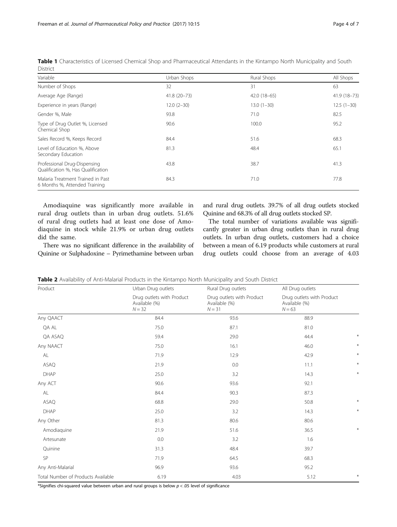| Variable                                                           | Urban Shops     | Rural Shops   | All Shops    |
|--------------------------------------------------------------------|-----------------|---------------|--------------|
| Number of Shops                                                    | 32              | 31            | 63           |
| Average Age (Range)                                                | $41.8(20 - 73)$ | $42.0(18-65)$ | 41.9 (18-73) |
| Experience in years (Range)                                        | $12.0(2-30)$    | $13.0(1-30)$  | $12.5(1-30)$ |
| Gender %, Male                                                     | 93.8            | 71.0          | 82.5         |
| Type of Drug Outlet %, Licensed<br>Chemical Shop                   | 90.6            | 100.0         | 95.2         |
| Sales Record %, Keeps Record                                       | 84.4            | 51.6          | 68.3         |
| Level of Education %, Above<br>Secondary Education                 | 81.3            | 48.4          | 65.1         |
| Professional Drug-Dispensing<br>Qualification %, Has Qualification | 43.8            | 38.7          | 41.3         |
| Malaria Treatment Trained in Past<br>6 Months %, Attended Training | 84.3            | 71.0          | 77.8         |

<span id="page-3-0"></span>Table 1 Characteristics of Licensed Chemical Shop and Pharmaceutical Attendants in the Kintampo North Municipality and South District

Amodiaquine was significantly more available in rural drug outlets than in urban drug outlets. 51.6% of rural drug outlets had at least one dose of Amodiaquine in stock while 21.9% or urban drug outlets did the same.

and rural drug outlets. 39.7% of all drug outlets stocked Quinine and 68.3% of all drug outlets stocked SP.

There was no significant difference in the availability of Quinine or Sulphadoxine – Pyrimethamine between urban

The total number of variations available was significantly greater in urban drug outlets than in rural drug outlets. In urban drug outlets, customers had a choice between a mean of 6.19 products while customers at rural drug outlets could choose from an average of 4.03

| Table 2 Availability of Anti-Malarial Products in the Kintampo North Municipality and South District |  |  |  |
|------------------------------------------------------------------------------------------------------|--|--|--|
|                                                                                                      |  |  |  |

| Product                            | Urban Drug outlets                                     | Rural Drug outlets                                     | All Drug outlets<br>Drug outlets with Product<br>Available (%)<br>$N = 63$ |        |
|------------------------------------|--------------------------------------------------------|--------------------------------------------------------|----------------------------------------------------------------------------|--------|
|                                    | Drug outlets with Product<br>Available (%)<br>$N = 32$ | Drug outlets with Product<br>Available (%)<br>$N = 31$ |                                                                            |        |
| Any QAACT                          | 84.4                                                   | 93.6                                                   | 88.9                                                                       |        |
| QA AL                              | 75.0                                                   | 87.1                                                   | 81.0                                                                       |        |
| QA ASAQ                            | 59.4                                                   | 29.0                                                   | 44.4                                                                       |        |
| Any NAACT                          | 75.0                                                   | 16.1                                                   | 46.0                                                                       | $\ast$ |
| AL                                 | 71.9                                                   | 12.9                                                   | 42.9                                                                       | $\ast$ |
| ASAQ                               | 21.9                                                   | 0.0                                                    | 11.1                                                                       | $\ast$ |
| <b>DHAP</b>                        | 25.0                                                   | 3.2                                                    | 14.3                                                                       | $\ast$ |
| Any ACT                            | 90.6                                                   | 93.6                                                   | 92.1                                                                       |        |
| AL                                 | 84.4                                                   | 90.3                                                   | 87.3                                                                       |        |
| ASAQ                               | 68.8                                                   | 29.0                                                   | 50.8                                                                       | $\ast$ |
| DHAP                               | 25.0                                                   | 3.2                                                    | 14.3                                                                       | $\ast$ |
| Any Other                          | 81.3                                                   | 80.6                                                   | 80.6                                                                       |        |
| Amodiaquine                        | 21.9                                                   | 51.6                                                   | 36.5                                                                       |        |
| Artesunate                         | 0.0                                                    | 3.2                                                    | 1.6                                                                        |        |
| Quinine                            | 31.3                                                   | 48.4                                                   | 39.7                                                                       |        |
| SP                                 | 71.9                                                   | 64.5                                                   | 68.3                                                                       |        |
| Any Anti-Malarial                  | 96.9                                                   | 93.6                                                   | 95.2                                                                       |        |
| Total Number of Products Available | 6.19                                                   | 4.03                                                   | 5.12                                                                       | $\ast$ |

\*Signifies chi-squared value between urban and rural groups is below  $p < .05$  level of significance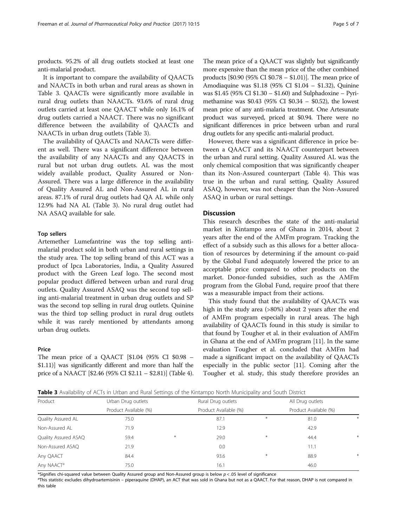products. 95.2% of all drug outlets stocked at least one anti-malarial product.

It is important to compare the availability of QAACTs and NAACTs in both urban and rural areas as shown in Table 3. QAACTs were significantly more available in rural drug outlets than NAACTs. 93.6% of rural drug outlets carried at least one QAACT while only 16.1% of drug outlets carried a NAACT. There was no significant difference between the availability of QAACTs and NAACTs in urban drug outlets (Table 3).

The availability of QAACTs and NAACTs were different as well. There was a significant difference between the availability of any NAACTs and any QAACTS in rural but not urban drug outlets. AL was the most widely available product, Quality Assured or Non-Assured. There was a large difference in the availability of Quality Assured AL and Non-Assured AL in rural areas. 87.1% of rural drug outlets had QA AL while only 12.9% had NA AL (Table 3). No rural drug outlet had NA ASAQ available for sale.

### Top sellers

Artemether Lumefantrine was the top selling antimalarial product sold in both urban and rural settings in the study area. The top selling brand of this ACT was a product of Ipca Laboratories, India, a Quality Assured product with the Green Leaf logo. The second most popular product differed between urban and rural drug outlets. Quality Assured ASAQ was the second top selling anti-malarial treatment in urban drug outlets and SP was the second top selling in rural drug outlets. Quinine was the third top selling product in rural drug outlets while it was rarely mentioned by attendants among urban drug outlets.

## Price

The mean price of a QAACT [\$1.04 (95% CI \$0.98 – \$1.11)] was significantly different and more than half the price of a NAACT [\$2.46 (95% CI \$2.11 – \$2.81)] (Table [4](#page-5-0)). The mean price of a QAACT was slightly but significantly more expensive than the mean price of the other combined products [\$0.90 (95% CI \$0.78 – \$1.01)]. The mean price of Amodiaquine was \$1.18 (95% CI \$1.04 – \$1.32), Quinine was \$1.45 (95% CI \$1.30 – \$1.60) and Sulphadoxine – Pyrimethamine was \$0.43 (95% CI \$0.34 – \$0.52), the lowest mean price of any anti-malaria treatment. One Artesunate product was surveyed, priced at \$0.94. There were no significant differences in price between urban and rural drug outlets for any specific anti-malarial product.

However, there was a significant difference in price between a QAACT and its NAACT counterpart between the urban and rural setting. Quality Assured AL was the only chemical composition that was significantly cheaper than its Non-Assured counterpart (Table [4](#page-5-0)). This was true in the urban and rural setting. Quality Assured ASAQ, however, was not cheaper than the Non-Assured ASAQ in urban or rural settings.

# Discussion

This research describes the state of the anti-malarial market in Kintampo area of Ghana in 2014, about 2 years after the end of the AMFm program. Tracking the effect of a subsidy such as this allows for a better allocation of resources by determining if the amount co-paid by the Global Fund adequately lowered the price to an acceptable price compared to other products on the market. Donor-funded subsidies, such as the AMFm program from the Global Fund, require proof that there was a measurable impact from their actions.

This study found that the availability of QAACTs was high in the study area (>80%) about 2 years after the end of AMFm program especially in rural areas. The high availability of QAACTs found in this study is similar to that found by Tougher et al. in their evaluation of AMFm in Ghana at the end of AMFm program [[11\]](#page-6-0). In the same evaluation Tougher et al. concluded that AMFm had made a significant impact on the availability of QAACTs especially in the public sector [[11](#page-6-0)]. Coming after the Tougher et al. study, this study therefore provides an

Table 3 Availability of ACTs in Urban and Rural Settings of the Kintampo North Municipality and South District

| Product                | Urban Drug outlets    |     | Rural Drug outlets    |     | All Drug outlets      |        |
|------------------------|-----------------------|-----|-----------------------|-----|-----------------------|--------|
|                        | Product Available (%) |     | Product Available (%) |     | Product Available (%) |        |
| Quality Assured AL     | 75.0                  |     | 87.1                  | $*$ | 81.0                  | $\ast$ |
| Non-Assured AL         | 71.9                  |     | 12.9                  |     | 42.9                  |        |
| Quality Assured ASAQ   | 59.4                  | $*$ | 29.0                  | $*$ | 44.4                  | $*$    |
| Non-Assured ASAQ       | 21.9                  |     | 0.0                   |     | 11.1                  |        |
| Any QAACT              | 84.4                  |     | 93.6                  | $*$ | 88.9                  | $\ast$ |
| Any NAACT <sup>a</sup> | 75.0                  |     | 16.1                  |     | 46.0                  |        |

\*Signifies chi-squared value between Quality Assured group and Non-Assured group is below  $p < 0.05$  level of significance

<sup>a</sup>This statistic excludes dihydroartemisinin – piperaquine (DHAP), an ACT that was sold in Ghana but not as a QAACT. For that reason, DHAP is not compared in this table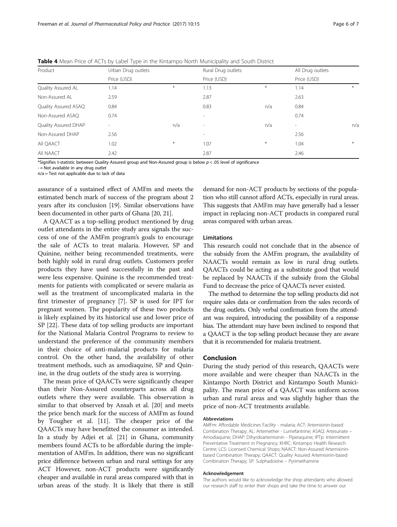| Product              | Urban Drug outlets       |        | Rural Drug outlets       |        | All Drug outlets         |     |
|----------------------|--------------------------|--------|--------------------------|--------|--------------------------|-----|
|                      | Price (USD)              |        | Price (USD)              |        | Price (USD)              |     |
| Quality Assured AL   | 1.14                     | $\ast$ | 1.13                     | $\ast$ | 1.14                     | $*$ |
| Non-Assured AL       | 2.59                     |        | 2.87                     |        | 2.63                     |     |
| Quality Assured ASAQ | 0.84                     |        | 0.83                     | n/a    | 0.84                     |     |
| Non-Assured ASAQ     | 0.74                     |        | $\overline{\phantom{a}}$ |        | 0.74                     |     |
| Quality Assured DHAP | $\overline{\phantom{a}}$ | n/a    | $\overline{\phantom{a}}$ | n/a    | $\overline{\phantom{a}}$ | n/a |
| Non-Assured DHAP     | 2.56                     |        | $\overline{\phantom{a}}$ |        | 2.56                     |     |
| All QAACT            | 1.02                     | $\ast$ | 1.07                     | $\ast$ | 1.04                     | $*$ |
| All NAACT            | 2.42                     |        | 2.87                     |        | 2.46                     |     |

<span id="page-5-0"></span>Table 4 Mean Price of ACTs by Label Type in the Kintampo North Municipality and South District

\*Signifies t-statistic between Quality Assured group and Non-Assured group is below  $p < .05$  level of significance

- = Not available in any drug outlet

n/a = Test not applicable due to lack of data

assurance of a sustained effect of AMFm and meets the estimated bench mark of success of the program about 2 years after its conclusion [[19](#page-6-0)]. Similar observations have been documented in other parts of Ghana [\[20, 21](#page-6-0)].

A QAACT as a top-selling product mentioned by drug outlet attendants in the entire study area signals the success of one of the AMFm program's goals to encourage the sale of ACTs to treat malaria. However, SP and Quinine, neither being recommended treatments, were both highly sold in rural drug outlets. Customers prefer products they have used successfully in the past and were less expensive. Quinine is the recommended treatments for patients with complicated or severe malaria as well as the treatment of uncomplicated malaria in the first trimester of pregnancy [\[7](#page-6-0)]. SP is used for IPT for pregnant women. The popularity of these two products is likely explained by its historical use and lower price of SP [\[22](#page-6-0)]. These data of top selling products are important for the National Malaria Control Programs to review to understand the preference of the community members in their choice of anti-malarial products for malaria control. On the other hand, the availability of other treatment methods, such as amodiaquine, SP and Quinine, in the drug outlets of the study area is worrying.

The mean price of QAACTs were significantly cheaper than their Non-Assured counterparts across all drug outlets where they were available. This observation is similar to that observed by Ansah et al. [[20\]](#page-6-0) and meets the price bench mark for the success of AMFm as found by Tougher et al. [\[11\]](#page-6-0). The cheaper price of the QAACTs may have benefitted the consumer as intended. In a study by Adjei et al. [\[21](#page-6-0)] in Ghana, community members found ACTs to be affordable during the implementation of AMFm. In addition, there was no significant price difference between urban and rural settings for any ACT However, non-ACT products were significantly cheaper and available in rural areas compared with that in urban areas of the study. It is likely that there is still

demand for non-ACT products by sections of the population who still cannot afford ACTs, especially in rural areas. This suggests that AMFm may have generally had a lesser impact in replacing non-ACT products in compared rural areas compared with urban areas.

#### **Limitations**

This research could not conclude that in the absence of the subsidy from the AMFm program, the availability of NAACTs would remain as low in rural drug outlets. QAACTs could be acting as a substitute good that would be replaced by NAACTs if the subsidy from the Global Fund to decrease the price of QAACTs never existed.

The method to determine the top selling products did not require sales data or confirmation from the sales records of the drug outlets. Only verbal confirmation from the attendant was required, introducing the possibility of a response bias. The attendant may have been inclined to respond that a QAACT is the top selling product because they are aware that it is recommended for malaria treatment.

## Conclusion

During the study period of this research, QAACTs were more available and were cheaper than NAACTs in the Kintampo North District and Kintampo South Municipality. The mean price of a QAACT was uniform across urban and rural areas and was slightly higher than the price of non-ACT treatments available.

#### Abbreviations

AMFm: Affordable Medicines Facility - malaria; ACT: Artemisinin-based Combination Therapy; AL: Artemether - Lumefantrine; ASAQ: Artesunate – Amodiaquine; DHAP: Dihyrdoartemisinin - Piperaquine; IPTp: Intermittent Preventative Treatment in Pregnancy; KHRC: Kintampo Health Research Centre; LCS: Licensed Chemical Shops; NAACT: Non-Assured Artemisininbased Combination Therapy; QAACT: Quality Assured Artemisinin-based Combination Therapy; SP: Sulphadoxine – Pyrimethamine

#### Acknowledgement

The authors would like to acknowledge the shop attendants who allowed our research staff to enter their shops and take the time to answer our